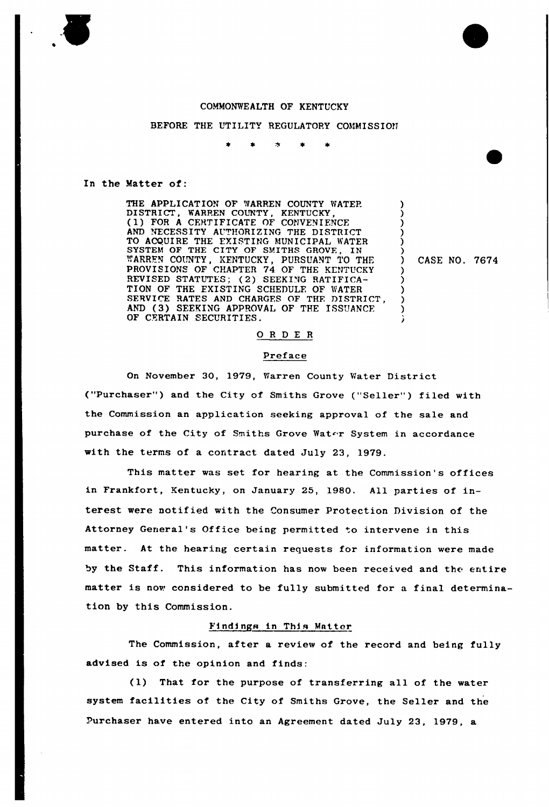#### COMMONWEALTH OF KENTUCKY

## BEFORE THE UTILITY REGULATORY COMMISSION

 $\bullet$  $\star$  $\blacktriangleright$  $\blacktriangle$ 

### In the Matter of:

THE APPLICATION OF WARREN COUNTY WATER DISTRICT, WARREN COUNTY, KENTUCKY, (1) FOR <sup>A</sup> CERTIFICATE OF CONVENIENCE AND NECESSITY AUTHORIZING THE DISTRICT TO ACQUIRE THE EXISTING MUNICIPAL WATER SYSTEM OF THE CITY OF SMITHS GROVE, IN '"ARREN COUNTY, KENTUCKY, PURSUANT TO THF. PROVISIONS OF CHAPTER 74 OF THE KENTUCKY REVISED STATUTES; (2) SEEKING RATIFICA-TION OF THE EXISTING SCHEDULE OF WATER SERVICE RATES AND CHARGES OF THE DISTRICT, AND (3) SEEKING APPROVAL OF THE ISSUANCF. OF CERTAIN SECURITIES.

) CASE NO. 7674

) ) ) ) ) )

> ) ) ) ) )

# ORDER

### Preface

On Novembex 30, 1979, Warren County Watex District ("Purchaser") and the City of Smiths Grove ("Seller") filed with the Commission an application seeking approval of the sale and purchase of the City of Smiths Grove Water System in accordance with the terms of a contract dated July 23, 1979.

This matter was set for hearing at the Commission's offices in Frankfort, Kentucky, on January 25, 1980. All parties of interest wexe notified with the Consumex Protection Division of the Attorney General's Office being permitted to intervene in this matter. At the hearing certain requests for information were made by the Staff. This information has now been received and the entire matter is now considered to be fully submitted for a final determination by this Commission.

#### Findings in This Matter

The Commission, after a review of the record and being fully advised is of the opinion and finds:

(1) That for the purpose of transferring all of the water system facilities of the City of Smiths Grove, the Seller and the Purchaser have entered into an Agreement dated July 23, 19?9, a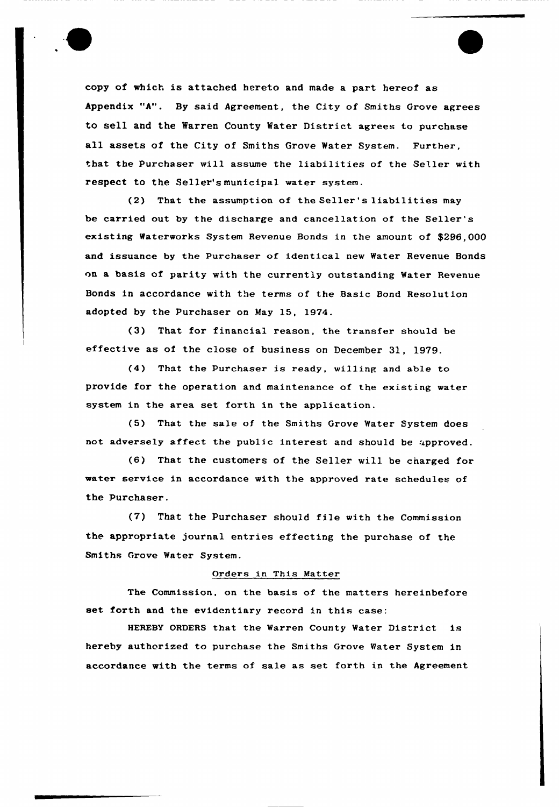copy of which is attached hereto and made a part hereof as Appendix "A". By said Agreement, the City of Smiths Grove agrees to sell and the Warren County Water District agrees to purchase all assets of the City of Smiths Grove Water System. Further, that the Purchaser vill assume the liabilities of the Seller with respect to the Seller's municipal water system.

(2) That the assumption of the Seller 's liabilities may be carried out by the discharge and cancellation of the Seller' existing Waterworks System Revenue Bonds in the amount of \$296,000 and issuance by the Purchaser of identical new Water Revenue Bonds nn a basis of parity with the currently outstanding Water Revenue Bonds in accordance with the terms of the 8asic Bond Resolution adopted by the Purchaser on May 15, 1974.

(3) That for financial reason, the transfer should be effective as of the close of business on December 31, 1979.

(4) That the Purchaser is ready, willing and able to provide for the operation and maintenance of the existing water system in the area set forth in the application.

(5) That the sale of the Smiths Grove Water System does not adversely affect the public interest and should be approved.

(6) That the customers of the Seller will be cnarged for water service in accordance with the approved rate schedules of the Purchaser.

(7) That the Purchaser should file with the Commission the appropriate journal entries effecting the purchase of the Smiths Grove Water System.

## Orders in This Matter

The Commission, on the basis of the matters hereinbefore set forth and the evidentiary record in this case:

HEREBY ORDERS that the Warren County Water District is hereby authorized to purchase the Smiths Grove Water System in accordance with the terms of sale as set forth in the Agreement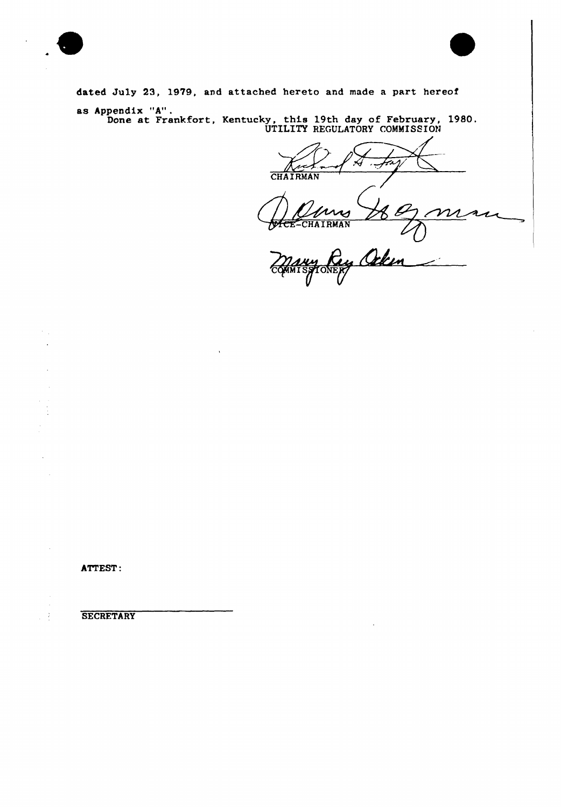dated July 23, 1979, and attached hereto and made a part hereof as Appendix "A".<br>Done at Frankfort, Kentucky, this 19th day of February, 1980.<br>UTILITY REGULATORY COMMISSION

**THEE** 

CHAIRMAN M  $\boldsymbol{\mathcal{V}}$ 

CHAIRMAN L Rey Ocken **TONEF** 

ATTEST:

 $\ddot{\phantom{a}}$ 

 $\ddot{\cdot}$ 

**SECRETARY**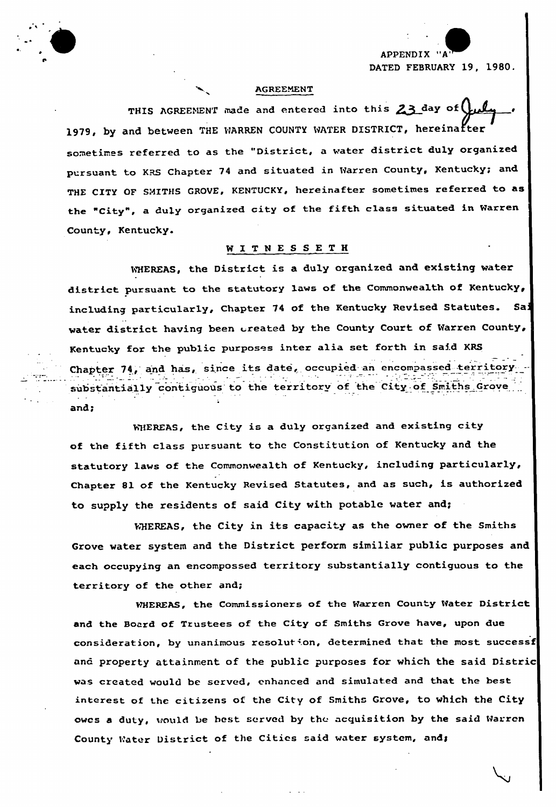APPENDIX "/ FEBRUARY 19, 1980.

### AGREEMENT

THIS AGREEMENT made and entered into this  $23$  day of l 1979, by and between THE WARREN COUNTY WATER DISTRICT, hereinafter sometimes referred to as the "District, a water district duly organized pursuant to KRS Chapter <sup>74</sup> and situated in Warren County, Kentucky; and THE CITY OF SMITHS GROVE, KENTUCKY, hereinafter sometimes referred to as the "City", <sup>a</sup> duly organized city of the fifth class situated in Warren County, Kentucky.

# WITNESSETH

WHEREAS, the District is a duly organized and existing water district pursuant to the statutory laws of the Commonwealth of Kentucky, including particularly, Chapter <sup>74</sup> of the Kentucky Revised Statutes. Sai water district having been created by the County Court of Warren County, Kentucky for the public purposes inter alia set forth in said KRS Chapter 74, and has, since its date, occupied an encompassed territory substantially contiguous to the territory of the City of Smiths Grove and;

WHEREAS, the City is a duly organized and existing city of the fifth class pursuant to the Constitution of Kentucky and the statutory laws of the Commonwealth of Kentucky, including particularly, Chapter 8l of the Kentucky Revised Statutes, and as such, is authorized to supply the residents of said City with potable water and;

WHEREAS, the City in its capacity as the owner of the Smiths Grove water system and the District perform similiar public purposes and each occupying an encompossed territory substantially contiguous to the territory of the other and;

WHEREAS, the Commissioners of the Warren County Water District and the Board of Trustees of the City of Smiths Grove have, upon due consideration, by unanimous resolution, determined that the most successf and property attainment of the public purposes for which the said Distric was created would be served, enhanced and simulated and that the best interest of the citizens of the City of Smiths Grove, to which the City owcs a duty, would be hest served by the acquisition by the said Warren County Water District of the Cities said water system, and;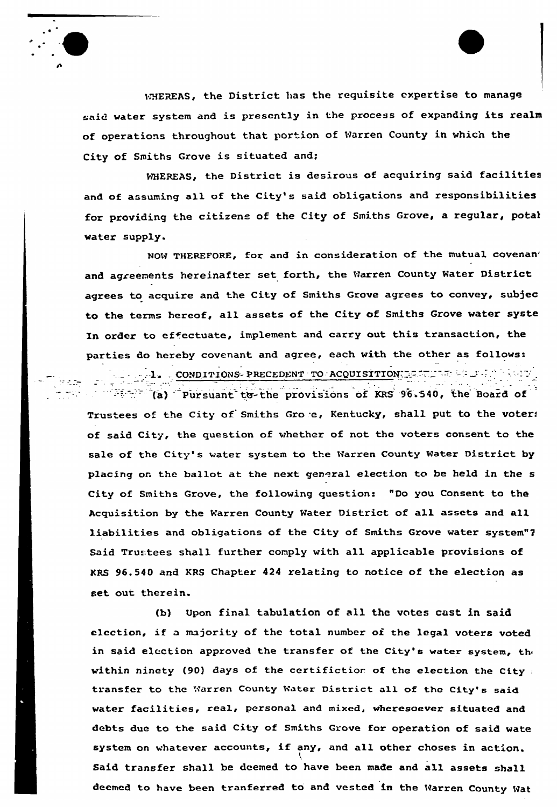

WHEREAS, the District has the requisite expertise to manage said water system and is presently in the process of expanding its realm of operations throughout that portion of Warren County in which the City of Smiths Grove is situated and;

WHEREAS, the District is desirous of acquiring said facilities and of assuming all of the City's said obligations and responsibilities for providing the citizens of the City of Smiths Grove, a regular, potal water supply.

NOW THEREFORE, for and in consideration of the mutual covenant and agreements hereinafter set forth, the Warren County Water District agrees to acquire and the City of Smiths Grove agrees to convey, subjec to the terms hereof, all assets of the City of Smiths Grove water syste In order to effectuate, implement and carry out this transaction, the parties do hereby covenant and agree, each with the other as follows: 1. CONDITIONS-PRECEDENT TO ACQUISITION:: SALE AND AND THE

 $\mathbb{R}$  (a) Pursuant to-the provisions of KRS 96.540, the Board of Trustees of the City of Smiths Grore, Kentucky, shall put to the voter: of said City, the question of whether of not the voters consent to the sale of the City's water system to the Warren County Water District by placing on the ballot at the next general election to be held in the s City of Smiths Grove, the following question: "Do you Consent to the Acquisition by the Warren County Water District of all assets and all liabilities and obligations of the City of Smiths Grove water system"2 Said Tru:tees shall further comply with all applicable provisions of KRS 96.540 and KRS Chapter 424 relating to notice of the election as set out therein.

(b) Upon final tabulation of all the vntes cast in said election, if <sup>a</sup> majority of the total number of the legal voters voted in said election approved the transfer of the City's water system, the within ninety (90) days of the certifiction of the election the City  $\pm$ transfer to the Warren County Water District all of the City's said water facilities, real, personal and mixed, wheresoever situated and debts due to the said City of Smiths Grove for operation of said wate system on whatever accounts, if any, and all other choses in action. I Said transfer shall be deemed to have been made and all assets shall deemed to have been tranferred to and vested in the Warren County Wat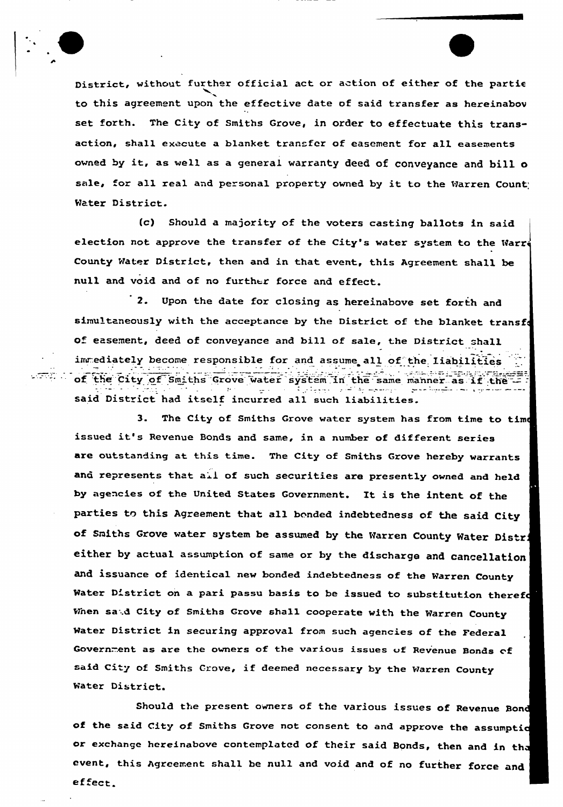ಎಡ್ಲಾ ಎಂ

District, without further official act or action of either of the partie to this agreement upon the effective date of said transfer as hereinabov set forth. The City of Smiths Grove, in order to effectuate this transaction, shall execute a blanket transfer of easement for all easements owned by it, as well as <sup>a</sup> general warranty deed of conveyance and bill <sup>o</sup> sale, for all real and personal property owned by it to the Warren Count Water District.

(c) Should a majority of the voters casting ballots in said election not approve the transfer of the City's water system to the Warre County Water District, then and in that event, this Agreement shall be null and void and of no further force and effect.

2. Upon the date for closing as hereinabove set forth and simultaneously with the acceptance by the District of the blanket transf of easement, deed of conveyance and bill of sale, the District shall immediately become responsible for and assume all of the liabilities of the City of Smiths Grove water system in the same manner as if the said District had itself incurred all such liabilities.

3. The City of Smiths Grove water system has from time to tim< issued it's Revenue Bonds and same, in <sup>a</sup> number of different series are outstanding at this time. The City of Smiths Grove hereby warrants and represents that all of such securities are presently owned and held hy agencies of the united States Government. It is the intent of the parties to this Agreement that all bonded indebtedness of the said City of Smiths Grove water system be assumed by the Warren County Water Distri either by actual assumption of same or by the discharge and cancellation and issuance of identical new bonded indebtedness of the Warren County Water District on a pari passu basis to be issued to substitution therefo When said City of Smiths Grove shall cooperate with the Warren County Mater District in securing approval from such agencies of the Federal Government as are the owners of the various issues of Revenue Bonds of aid City of Smiths Grove, if deemed necessary by the Warren County Mater District.

Should the present owners of the various issues of Revenue Bond of the said City of Smiths Grove not consent to and approve the assumptid or exchange hereinabove contemplated of their said Bonds, then and in tha event, this Agreement shall be null and void and of no further force and ef ect.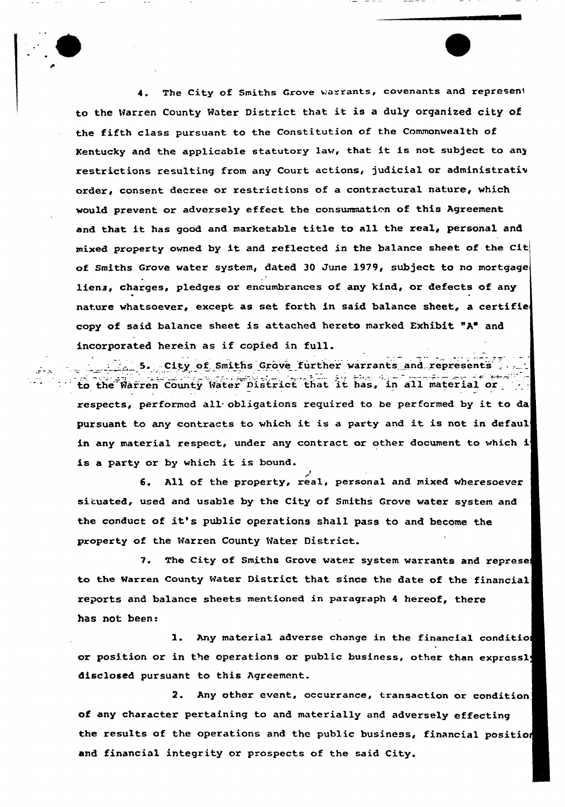4. The City of Smiths Grove warrants, covenants and represent to the Warren County Mater District that it is <sup>a</sup> duly orqanized city of the fifth class pursuant to the Constitution of the Commonwealth of Kentucky and the applicable statutory law, that it is not subject to any restrictions resulting from any Court actions, judicial or administrativ order, consent decree or restrictions of a contractural nature, which would prevent or adversely effect the consummation of this Agreement and that it has good and marketable title to all the real, personal and mixed property owned by it and reflected in the balance sheet of the Cit of Smiths Grove water system, dated 30 June 1979, subject to no mortgage liens, charges, pledges or encumbrances of any kind, or defects of any nature whatsoever, except as set forth in said balance sheet, a certifie copy of said balance sheet is attached hereto marked Exhibit "A" and incorpoxated hexein as if copied in full.

5. City of Smiths Grove further warrants and represents to the Harren County (Water District that it has, in all material or . respects, performed all obligations required to be performed by it to da pursuant to any contracts to which it is <sup>a</sup> party and it is not in defaul in any material respect, under any contract or other document to which i is <sup>a</sup> party or by which it is bound.

6. All of the property, real, personal and mixed wheresoevex situated, used and usable by the City of Smiths Grove water system and the conduct of it's public operations shall pass to and become the property of the Warren County Mater District.

7. The City of Smiths Grove water system warrants and represe to the Warren County Water District that since the date of the financial reports and balance sheets mentioned in paragraph <sup>4</sup> hereof, there has not been:

1. Any material adverse change in the financial conditio] or position or in the operations or public business, other than expressly disclosed pursuant to this Agreement.

2. Any other event, occurrance, transaction or condition of any character pertaining to and materially and adversely effecting the results of the operations and the public business, financial position and financial integrity or prospects of the said City.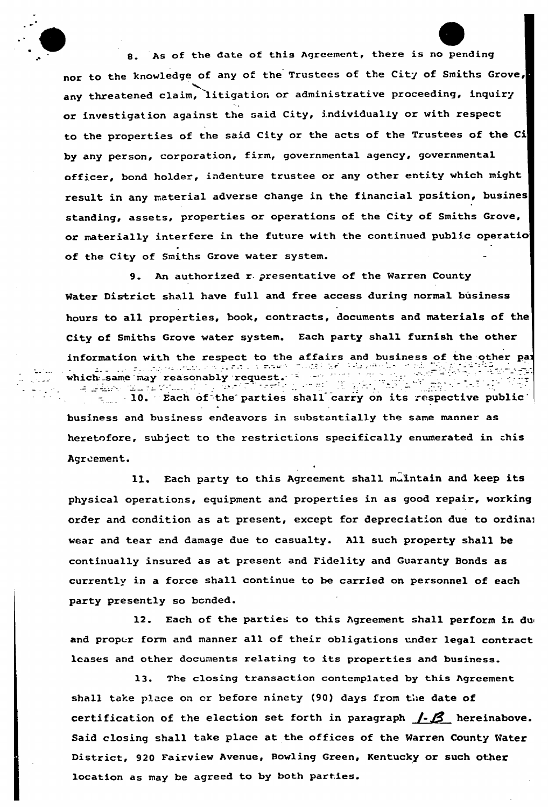8. As of the date of this Agreement, there is no pending nor to the knowledge of any of the Trustees of the City of Smiths Grove, any threatened claim, litigation or administrative proceeding, inquiry or investigation against the said City, individually or with respect to the properties of the said City or the acts of the Trustees of the Ci by any person, corporation, firm, governmental agency, governmental officer, bond holder, indenture trustee or any other entity which might result in any material adverse change in the financial position, busines standing, assets, properties or operations of the City of Smiths Grove, or materially interfere in the future with the continued public operatio of the City of Smiths Grove water system.

9. An authorized r. presentative of the Warren County Water District shall have full and free access during normal business hours to all properties, book, contracts, documents and materials of the City of Smiths Grove water system. Each party shall furnish the other information with the respect to the affairs and business of the other pairs of the other pairs of the other pairs of the other pairs of the state of the state of the state of the state of the state of the state of the sta الدائيل ال which same may reasonably request. 11cm same may reasonably request.<br>
10. Each of the parties shall carry on its respective public

 $\mathcal{L}_{\mathbf{z}}$  ,  $\mathcal{L}_{\mathbf{z}}$  ,  $\mathcal{L}_{\mathbf{z}}$ 

الصعيف والمراد

business and business endeavors in substantially the same manner as heretofore, subject to the restrictions specifically enumerated in this Agreement.

11. Each party to this Agreement shall muintain and keep its physical operations, equipment and properties in as good repair, working order and condition as at present, except for depreciation due to ordinal wear and tear and damage due to casualty. All such property shall be continually insured as at present and Fidelity and Guaranty Bonds as currently in a force shall continue to be carried on personnel of each party presently so bonded.

12. Each of the parties to this Agreement shall perform in dui and proper form and manner all of their obligations under legal contract leases and other documents relating to its properties and business.

l3. The closing transaction contemplated by this Agreement shall take place on or before ninety (90) days from the date of certification of the election set forth in paragraph  $/$ - $\beta$  hereinabove. Said closing shall take place at the offices of the Warren County Water District, 920 Fairview Avenue, Bowling Green, Kentucky or such other location as may be agreed to by both parties.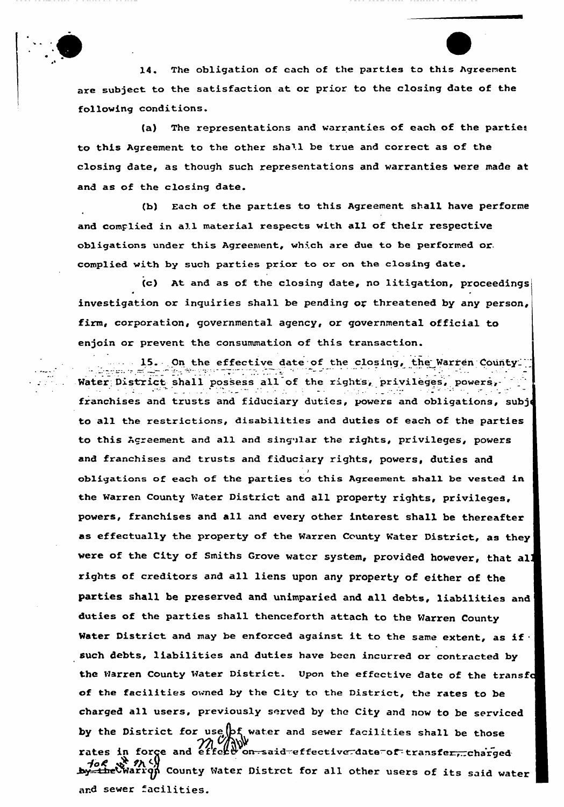14. The obligation of each of the parties to this Agreement are subject to the satisfaction at or prior to the closing date of the following conditions.

(a) The representations and warranties of each of the parties to this Agreement to the other shall be true and correct as of the closing date, as though such representations and warranties were made at and as of the closing date.

(b) Each of the parties to this Agreement shall have performe and complied in all material respects with all of their respective obligations under this Agreement, which are due to be performed or. complied with by such parties prior to or on the closing date.

(c) At and as of the closing date, no litigation, proceedings investigation or inquiries shall be pending or threatened by any person, firm, corporation, governmental agency, or governmental official to enjoin or prevent the consummation of this transaction.

15. On the effective date of the closing, the Warren County Water District shall possess all of the rights, privileges, powers,franchises and trusts and fiduciary duties, powers and obligations, subj< to all the restrictions, disabilities and duties of each of the parties to this Agreement and all and singular the rights, privileges, powers and franchises and trusts and fiduciary rights, powers, duties and obligations of each of the parties to this Agreement shall be vested in the Warren County Mater Distxict and all property rights, privileges, powers, franchises and all and every other interest shall be thereafter as effectually the property of the Warren County Water District, as they were of the City of Smiths Grove water system, provided however, that all rights of cxeditors and all liens upon any property of either of the parties shall he preserved and unimparied and all debts, liabilities and duties of the parties shall thenceforth attach to the Warren County Water District and may be enforced against it to the same extent, as if  $\cdot$ such debts, liabilities and duties have been incurred or contracted by the Warren County Mater District. Upon the effective date of the transfa of the facilities owned by the City to the District, the rates to be charged all users, previously served by the City and now to be serviced by the District for use  $\beta$  water and sewer facilities shall be those m MMWW and effect on-said effective date of transfer, charged. foc st n <)<br>the Warrqn County Water Distrct for all other users of its said water and sewer facilities.